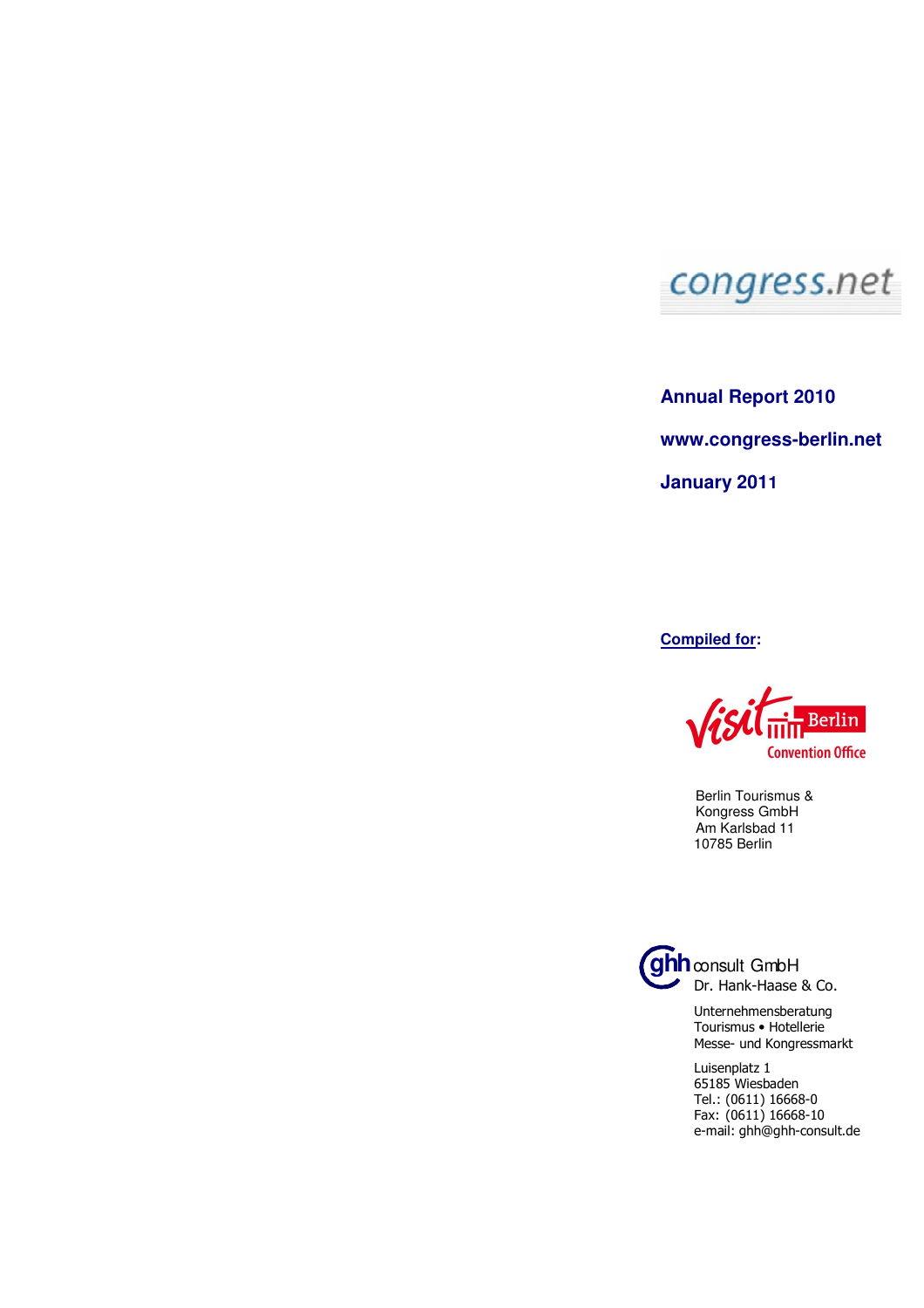

**Annual Report 2010 www.congress-berlin.net January 2011** 

**Compiled for:** 

Berlin **Convention Office** 

 Berlin Tourismus & Kongress GmbH Am Karlsbad 11 10785 Berlin



**ghh** consult GmbH Dr. Hank-Haase & Co.

> Unternehmensberatung Tourismus • Hotellerie Messe- und Kongressmarkt

Luisenplatz 1 65185 Wiesbaden Tel.: (0611) 16668-0 Fax: (0611) 16668-10 e-mail: ghh@ghh-consult.de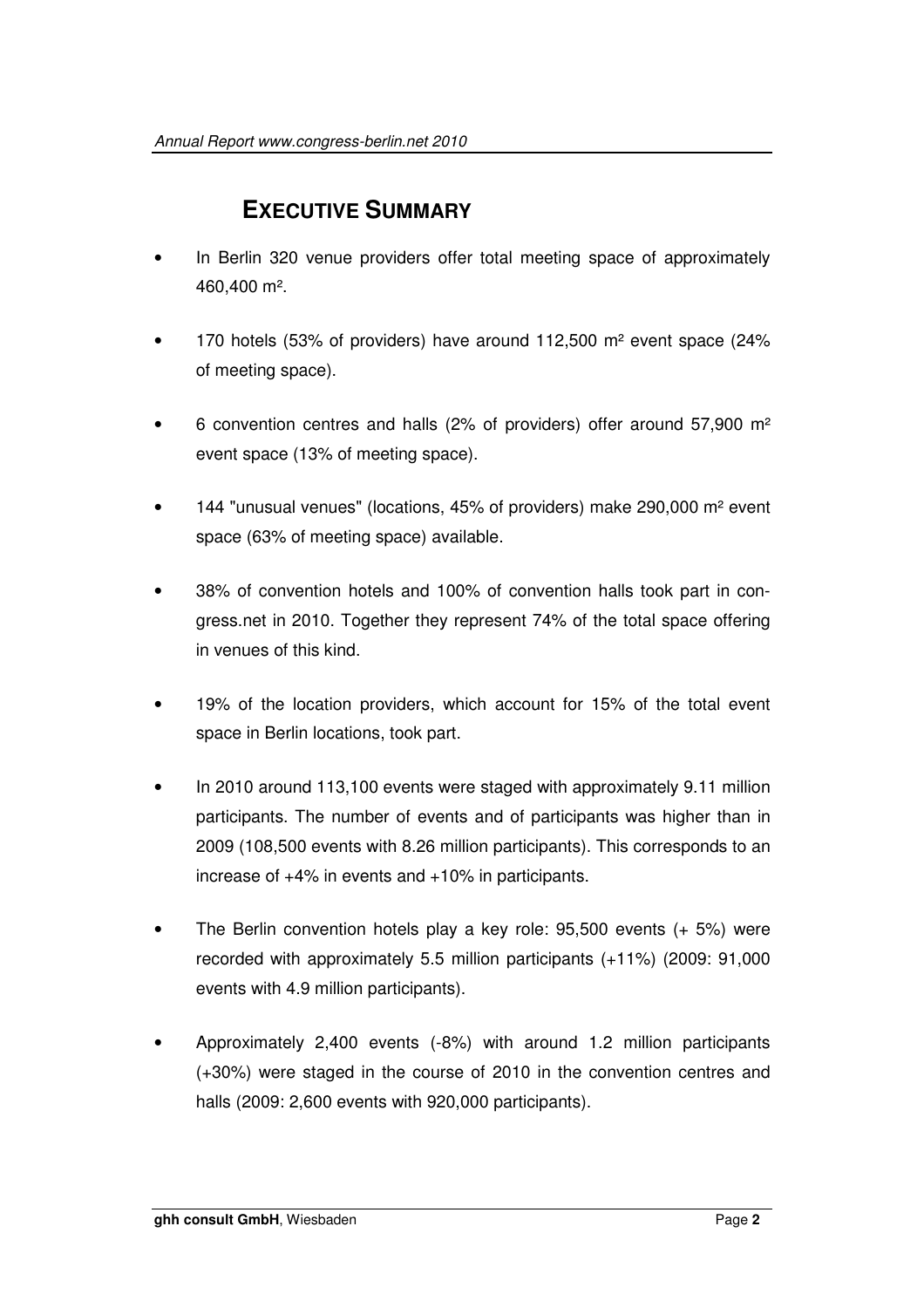## **EXECUTIVE SUMMARY**

- In Berlin 320 venue providers offer total meeting space of approximately 460,400 m².
- 170 hotels (53% of providers) have around 112,500 m² event space (24% of meeting space).
- 6 convention centres and halls (2% of providers) offer around 57,900 m² event space (13% of meeting space).
- 144 "unusual venues" (locations, 45% of providers) make 290,000 m² event space (63% of meeting space) available.
- 38% of convention hotels and 100% of convention halls took part in congress.net in 2010. Together they represent 74% of the total space offering in venues of this kind.
- 19% of the location providers, which account for 15% of the total event space in Berlin locations, took part.
- In 2010 around 113,100 events were staged with approximately 9.11 million participants. The number of events and of participants was higher than in 2009 (108,500 events with 8.26 million participants). This corresponds to an increase of +4% in events and +10% in participants.
- The Berlin convention hotels play a key role: 95,500 events (+ 5%) were recorded with approximately 5.5 million participants (+11%) (2009: 91,000 events with 4.9 million participants).
- Approximately 2,400 events (-8%) with around 1.2 million participants (+30%) were staged in the course of 2010 in the convention centres and halls (2009: 2,600 events with 920,000 participants).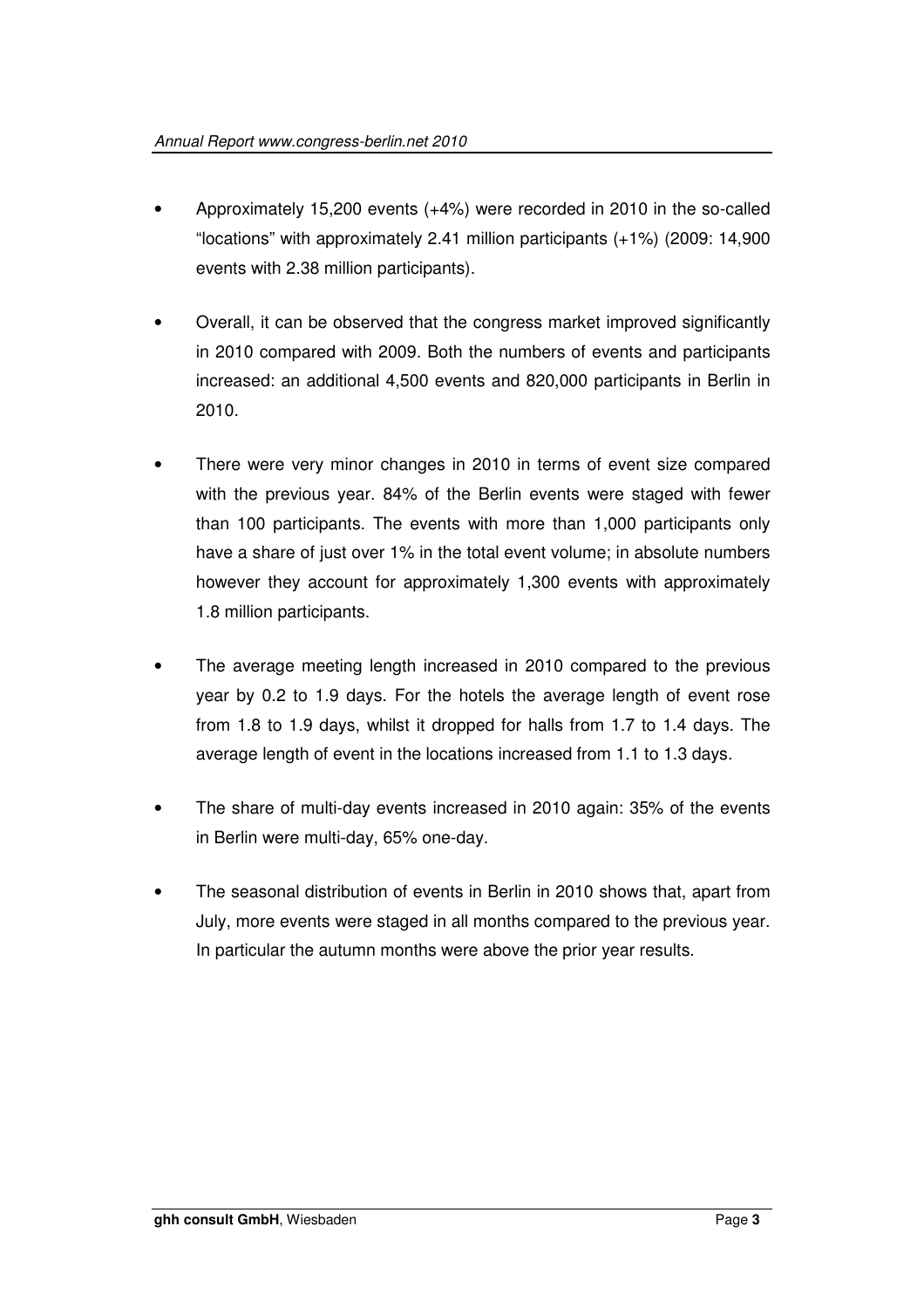- Approximately 15,200 events (+4%) were recorded in 2010 in the so-called "locations" with approximately 2.41 million participants (+1%) (2009: 14,900 events with 2.38 million participants).
- Overall, it can be observed that the congress market improved significantly in 2010 compared with 2009. Both the numbers of events and participants increased: an additional 4,500 events and 820,000 participants in Berlin in 2010.
- There were very minor changes in 2010 in terms of event size compared with the previous year. 84% of the Berlin events were staged with fewer than 100 participants. The events with more than 1,000 participants only have a share of just over 1% in the total event volume; in absolute numbers however they account for approximately 1,300 events with approximately 1.8 million participants.
- The average meeting length increased in 2010 compared to the previous year by 0.2 to 1.9 days. For the hotels the average length of event rose from 1.8 to 1.9 days, whilst it dropped for halls from 1.7 to 1.4 days. The average length of event in the locations increased from 1.1 to 1.3 days.
- The share of multi-day events increased in 2010 again: 35% of the events in Berlin were multi-day, 65% one-day.
- The seasonal distribution of events in Berlin in 2010 shows that, apart from July, more events were staged in all months compared to the previous year. In particular the autumn months were above the prior year results.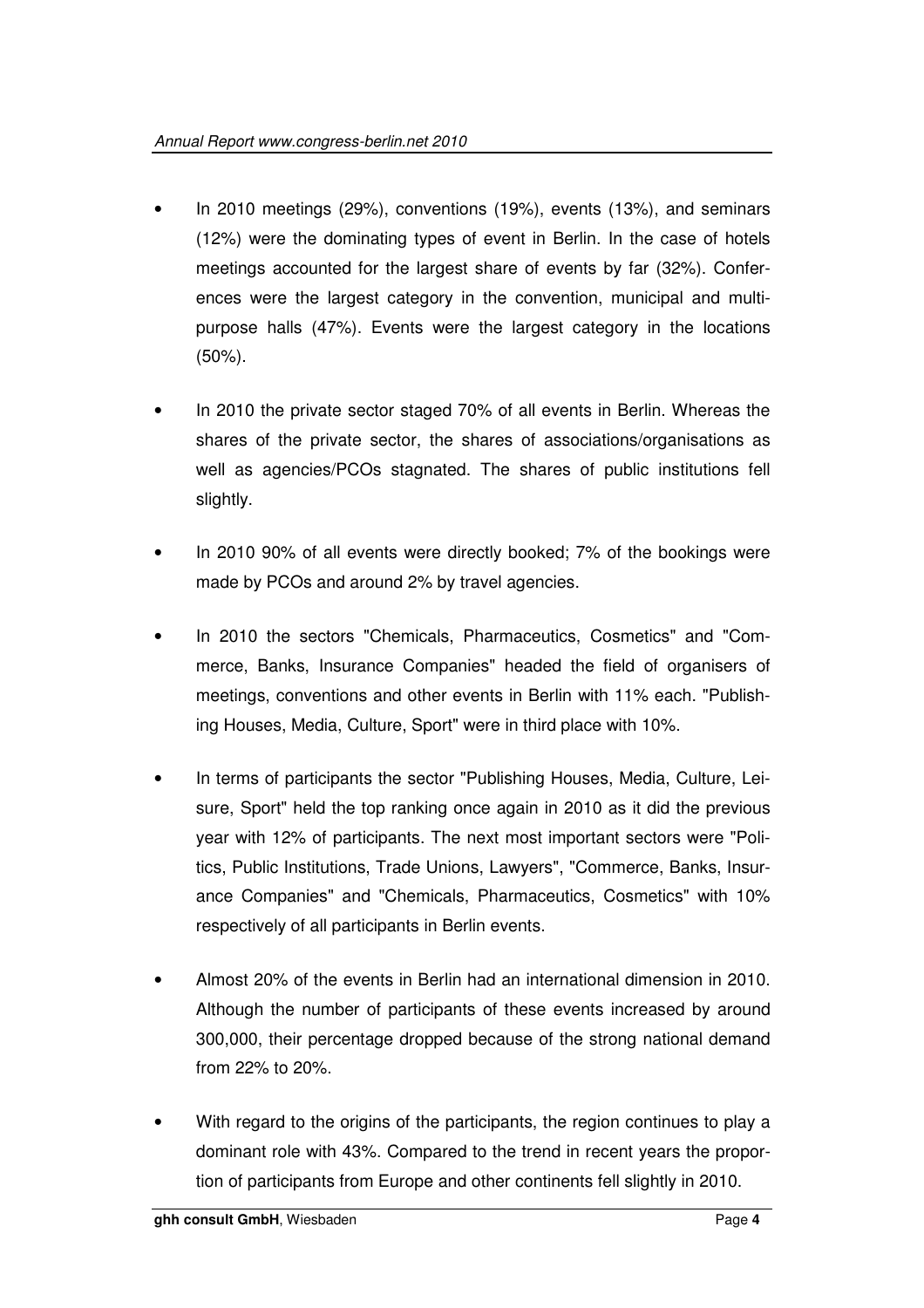- In 2010 meetings (29%), conventions (19%), events (13%), and seminars (12%) were the dominating types of event in Berlin. In the case of hotels meetings accounted for the largest share of events by far (32%). Conferences were the largest category in the convention, municipal and multipurpose halls (47%). Events were the largest category in the locations (50%).
- In 2010 the private sector staged 70% of all events in Berlin. Whereas the shares of the private sector, the shares of associations/organisations as well as agencies/PCOs stagnated. The shares of public institutions fell slightly.
- In 2010 90% of all events were directly booked; 7% of the bookings were made by PCOs and around 2% by travel agencies.
- In 2010 the sectors "Chemicals, Pharmaceutics, Cosmetics" and "Commerce, Banks, Insurance Companies" headed the field of organisers of meetings, conventions and other events in Berlin with 11% each. "Publishing Houses, Media, Culture, Sport" were in third place with 10%.
- In terms of participants the sector "Publishing Houses, Media, Culture, Leisure, Sport" held the top ranking once again in 2010 as it did the previous year with 12% of participants. The next most important sectors were "Politics, Public Institutions, Trade Unions, Lawyers", "Commerce, Banks, Insurance Companies" and "Chemicals, Pharmaceutics, Cosmetics" with 10% respectively of all participants in Berlin events.
- Almost 20% of the events in Berlin had an international dimension in 2010. Although the number of participants of these events increased by around 300,000, their percentage dropped because of the strong national demand from 22% to 20%.
- With regard to the origins of the participants, the region continues to play a dominant role with 43%. Compared to the trend in recent years the proportion of participants from Europe and other continents fell slightly in 2010.